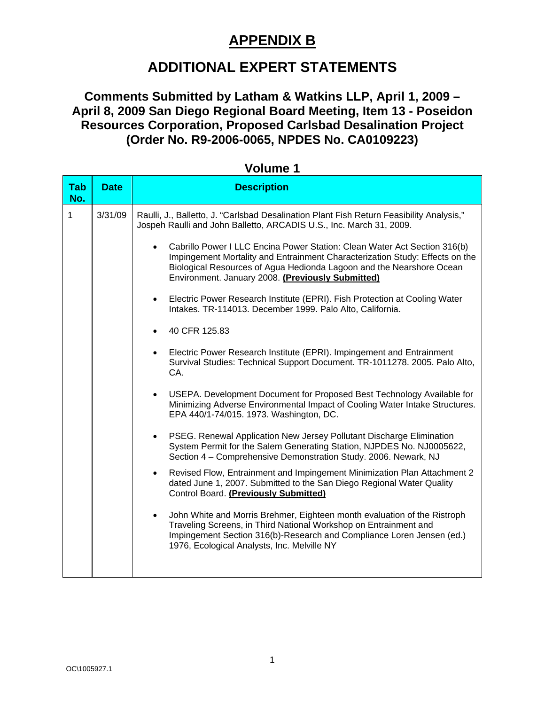### **APPENDIX B**

## **ADDITIONAL EXPERT STATEMENTS**

### **Comments Submitted by Latham & Watkins LLP, April 1, 2009 – April 8, 2009 San Diego Regional Board Meeting, Item 13 - Poseidon Resources Corporation, Proposed Carlsbad Desalination Project (Order No. R9-2006-0065, NPDES No. CA0109223)**

| <b>Tab</b><br>No. | <b>Date</b> | <b>Description</b>                                                                                                                                                                                                                                                                                  |
|-------------------|-------------|-----------------------------------------------------------------------------------------------------------------------------------------------------------------------------------------------------------------------------------------------------------------------------------------------------|
| 1                 | 3/31/09     | Raulli, J., Balletto, J. "Carlsbad Desalination Plant Fish Return Feasibility Analysis,"<br>Jospeh Raulli and John Balletto, ARCADIS U.S., Inc. March 31, 2009.                                                                                                                                     |
|                   |             | Cabrillo Power I LLC Encina Power Station: Clean Water Act Section 316(b)<br>$\bullet$<br>Impingement Mortality and Entrainment Characterization Study: Effects on the<br>Biological Resources of Agua Hedionda Lagoon and the Nearshore Ocean<br>Environment. January 2008. (Previously Submitted) |
|                   |             | Electric Power Research Institute (EPRI). Fish Protection at Cooling Water<br>$\bullet$<br>Intakes. TR-114013. December 1999. Palo Alto, California.                                                                                                                                                |
|                   |             | 40 CFR 125.83                                                                                                                                                                                                                                                                                       |
|                   |             | Electric Power Research Institute (EPRI). Impingement and Entrainment<br>$\bullet$<br>Survival Studies: Technical Support Document. TR-1011278. 2005. Palo Alto,<br>CA.                                                                                                                             |
|                   |             | USEPA. Development Document for Proposed Best Technology Available for<br>$\bullet$<br>Minimizing Adverse Environmental Impact of Cooling Water Intake Structures.<br>EPA 440/1-74/015. 1973. Washington, DC.                                                                                       |
|                   |             | PSEG. Renewal Application New Jersey Pollutant Discharge Elimination<br>$\bullet$<br>System Permit for the Salem Generating Station, NJPDES No. NJ0005622,<br>Section 4 - Comprehensive Demonstration Study. 2006. Newark, NJ                                                                       |
|                   |             | Revised Flow, Entrainment and Impingement Minimization Plan Attachment 2<br>$\bullet$<br>dated June 1, 2007. Submitted to the San Diego Regional Water Quality<br>Control Board. (Previously Submitted)                                                                                             |
|                   |             | John White and Morris Brehmer, Eighteen month evaluation of the Ristroph<br>$\bullet$<br>Traveling Screens, in Third National Workshop on Entrainment and<br>Impingement Section 316(b)-Research and Compliance Loren Jensen (ed.)<br>1976, Ecological Analysts, Inc. Melville NY                   |

#### **Volume 1**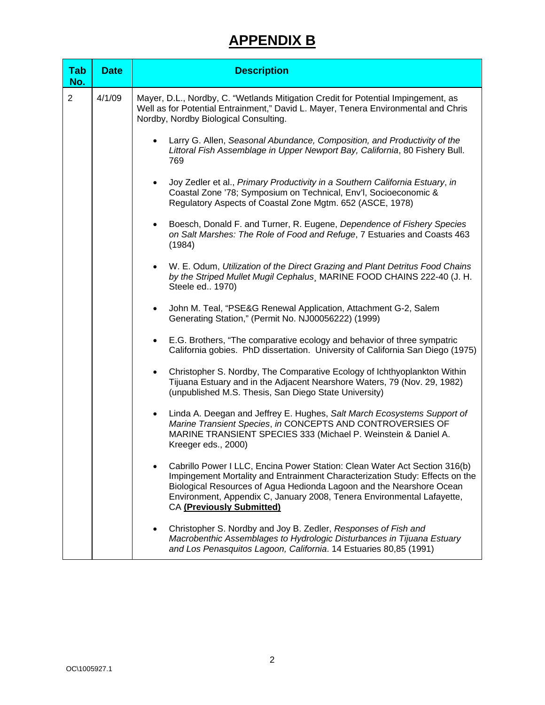# **APPENDIX B**

| <b>Tab</b><br>No. | <b>Date</b> | <b>Description</b>                                                                                                                                                                                                                                                                                                                        |
|-------------------|-------------|-------------------------------------------------------------------------------------------------------------------------------------------------------------------------------------------------------------------------------------------------------------------------------------------------------------------------------------------|
| 2                 | 4/1/09      | Mayer, D.L., Nordby, C. "Wetlands Mitigation Credit for Potential Impingement, as<br>Well as for Potential Entrainment," David L. Mayer, Tenera Environmental and Chris<br>Nordby, Nordby Biological Consulting.                                                                                                                          |
|                   |             | Larry G. Allen, Seasonal Abundance, Composition, and Productivity of the<br>Littoral Fish Assemblage in Upper Newport Bay, California, 80 Fishery Bull.<br>769                                                                                                                                                                            |
|                   |             | Joy Zedler et al., Primary Productivity in a Southern California Estuary, in<br>$\bullet$<br>Coastal Zone '78; Symposium on Technical, Env'l, Socioeconomic &<br>Regulatory Aspects of Coastal Zone Mgtm. 652 (ASCE, 1978)                                                                                                                |
|                   |             | Boesch, Donald F. and Turner, R. Eugene, Dependence of Fishery Species<br>$\bullet$<br>on Salt Marshes: The Role of Food and Refuge, 7 Estuaries and Coasts 463<br>(1984)                                                                                                                                                                 |
|                   |             | W. E. Odum, Utilization of the Direct Grazing and Plant Detritus Food Chains<br>$\bullet$<br>by the Striped Mullet Mugil Cephalus, MARINE FOOD CHAINS 222-40 (J. H.<br>Steele ed 1970)                                                                                                                                                    |
|                   |             | John M. Teal, "PSE&G Renewal Application, Attachment G-2, Salem<br>$\bullet$<br>Generating Station," (Permit No. NJ00056222) (1999)                                                                                                                                                                                                       |
|                   |             | E.G. Brothers, "The comparative ecology and behavior of three sympatric<br>$\bullet$<br>California gobies. PhD dissertation. University of California San Diego (1975)                                                                                                                                                                    |
|                   |             | Christopher S. Nordby, The Comparative Ecology of Ichthyoplankton Within<br>$\bullet$<br>Tijuana Estuary and in the Adjacent Nearshore Waters, 79 (Nov. 29, 1982)<br>(unpublished M.S. Thesis, San Diego State University)                                                                                                                |
|                   |             | Linda A. Deegan and Jeffrey E. Hughes, Salt March Ecosystems Support of<br>$\bullet$<br>Marine Transient Species, in CONCEPTS AND CONTROVERSIES OF<br>MARINE TRANSIENT SPECIES 333 (Michael P. Weinstein & Daniel A.<br>Kreeger eds., 2000)                                                                                               |
|                   |             | Cabrillo Power I LLC, Encina Power Station: Clean Water Act Section 316(b)<br>Impingement Mortality and Entrainment Characterization Study: Effects on the<br>Biological Resources of Agua Hedionda Lagoon and the Nearshore Ocean<br>Environment, Appendix C, January 2008, Tenera Environmental Lafayette,<br>CA (Previously Submitted) |
|                   |             | Christopher S. Nordby and Joy B. Zedler, Responses of Fish and<br>$\bullet$<br>Macrobenthic Assemblages to Hydrologic Disturbances in Tijuana Estuary<br>and Los Penasquitos Lagoon, California. 14 Estuaries 80,85 (1991)                                                                                                                |